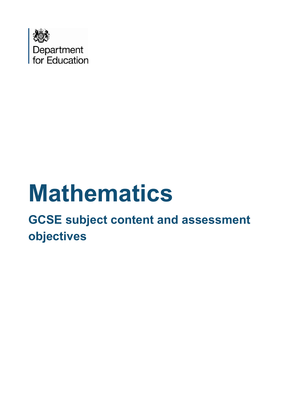

# **Mathematics**

# **GCSE subject content and assessment objectives**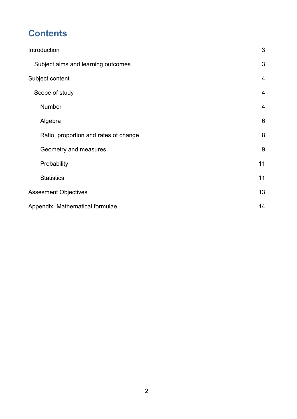# **Contents**

| Introduction                          | 3              |
|---------------------------------------|----------------|
| Subject aims and learning outcomes    | 3              |
| Subject content                       | $\overline{4}$ |
| Scope of study                        | $\overline{4}$ |
| Number                                | 4              |
| Algebra                               | 6              |
| Ratio, proportion and rates of change | 8              |
| Geometry and measures                 | 9              |
| Probability                           | 11             |
| <b>Statistics</b>                     | 11             |
| <b>Assesment Objectives</b>           |                |
| Appendix: Mathematical formulae       |                |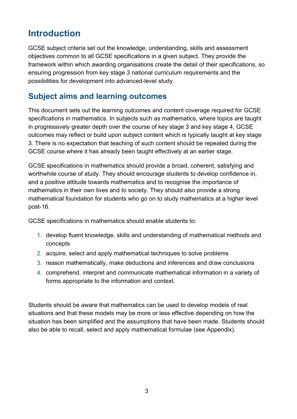# <span id="page-2-0"></span>**Introduction**

GCSE subject criteria set out the knowledge, understanding, skills and assessment objectives common to all GCSE specifications in a given subject. They provide the framework within which awarding organisations create the detail of their specifications, so ensuring progression from key stage 3 national curriculum requirements and the possibilities for development into advanced-level study.

# <span id="page-2-1"></span>**Subject aims and learning outcomes**

This document sets out the learning outcomes and content coverage required for GCSE specifications in mathematics. In subjects such as mathematics, where topics are taught in progressively greater depth over the course of key stage 3 and key stage 4, GCSE outcomes may reflect or build upon subject content which is typically taught at key stage 3. There is no expectation that teaching of such content should be repeated during the GCSE course where it has already been taught effectively at an earlier stage.

GCSE specifications in mathematics should provide a broad, coherent, satisfying and worthwhile course of study. They should encourage students to develop confidence in, and a positive attitude towards mathematics and to recognise the importance of mathematics in their own lives and to society. They should also provide a strong mathematical foundation for students who go on to study mathematics at a higher level post-16.

GCSE specifications in mathematics should enable students to:

- 1. develop fluent knowledge, skills and understanding of mathematical methods and concepts
- 2. acquire, select and apply mathematical techniques to solve problems
- 3. reason mathematically, make deductions and inferences and draw conclusions
- 4. comprehend, interpret and communicate mathematical information in a variety of forms appropriate to the information and context.

Students should be aware that mathematics can be used to develop models of real situations and that these models may be more or less effective depending on how the situation has been simplified and the assumptions that have been made. Students should also be able to recall, select and apply mathematical formulae (see Appendix).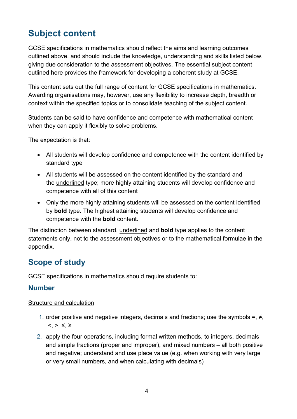# <span id="page-3-0"></span>**Subject content**

GCSE specifications in mathematics should reflect the aims and learning outcomes outlined above, and should include the knowledge, understanding and skills listed below, giving due consideration to the assessment objectives. The essential subject content outlined here provides the framework for developing a coherent study at GCSE.

This content sets out the full range of content for GCSE specifications in mathematics. Awarding organisations may, however, use any flexibility to increase depth, breadth or context within the specified topics or to consolidate teaching of the subject content.

Students can be said to have confidence and competence with mathematical content when they can apply it flexibly to solve problems.

The expectation is that:

- All students will develop confidence and competence with the content identified by standard type
- All students will be assessed on the content identified by the standard and the underlined type; more highly attaining students will develop confidence and competence with all of this content
- Only the more highly attaining students will be assessed on the content identified by **bold** type. The highest attaining students will develop confidence and competence with the **bold** content.

The distinction between standard, underlined and **bold** type applies to the content statements only, not to the assessment objectives or to the mathematical formulae in the appendix.

# <span id="page-3-1"></span>**Scope of study**

GCSE specifications in mathematics should require students to:

## <span id="page-3-2"></span>**Number**

#### Structure and calculation

- 1. order positive and negative integers, decimals and fractions; use the symbols =,  $\neq$ ,  $<, >, \le, \ge$
- 2. apply the four operations, including formal written methods, to integers, decimals and simple fractions (proper and improper), and mixed numbers – all both positive and negative; understand and use place value (e.g. when working with very large or very small numbers, and when calculating with decimals)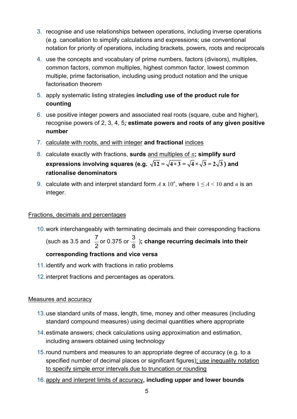- 3. recognise and use relationships between operations, including inverse operations (e.g. cancellation to simplify calculations and expressions; use conventional notation for priority of operations, including brackets, powers, roots and reciprocals
- 4. use the concepts and vocabulary of prime numbers, factors (divisors), multiples, common factors, common multiples, highest common factor, lowest common multiple, prime factorisation, including using product notation and the unique factorisation theorem
- 5. apply systematic listing strategies **including use of the product rule for counting**
- 6. use positive integer powers and associated real roots (square, cube and higher), recognise powers of 2, 3, 4, 5*;* **estimate powers and roots of any given positive number**
- 7. calculate with roots, and with integer **and fractional** indices
- 8. calculate exactly with fractions, **surds** and multiples of π**; simplify surd expressions involving squares (e.g.**  $\sqrt{12} = \sqrt{4 \times 3} = \sqrt{4} \times \sqrt{3} = 2\sqrt{3}$ ) and **rationalise denominators**
- 9. calculate with and interpret standard form  $A \times 10^n$ , where  $1 \le A \le 10$  and  $n$  is an integer.

#### Fractions, decimals and percentages

10.work interchangeably with terminating decimals and their corresponding fractions

(such as 3.5 and  $\frac{7}{6}$ 2 or 0.375 or  $\frac{3}{2}$  $\frac{8}{8}$ ); change recurring decimals into their **corresponding fractions and vice versa** 

- 11.identify and work with fractions in ratio problems
- 12.interpret fractions and percentages as operators.

#### Measures and accuracy

- 13.use standard units of mass, length, time, money and other measures (including standard compound measures) using decimal quantities where appropriate
- 14.estimate answers; check calculations using approximation and estimation, including answers obtained using technology
- 15.round numbers and measures to an appropriate degree of accuracy (e.g. to a specified number of decimal places or significant figures); use inequality notation to specify simple error intervals due to truncation or rounding
- 16.apply and interpret limits of accuracy**, including upper and lower bounds**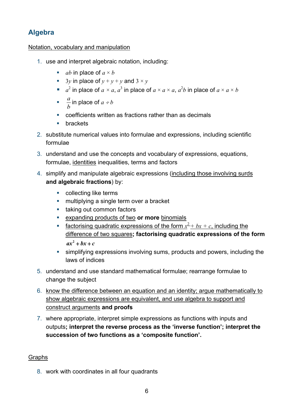# <span id="page-5-0"></span>**Algebra**

#### Notation, vocabulary and manipulation

- 1. use and interpret algebraic notation, including:
	- *ab* in place of  $a \times b$
	- 3*y* in place of  $y + y + y$  and  $3 \times y$
	- *a*<sup>2</sup> in place of *a* × *a*, *a*<sup>3</sup> in place of *a* × *a* × *a*, *a*<sup>2</sup>*b* in place of *a* × *a* × *b*
	- $\frac{a}{1}$ *b* in place of *a* ÷ *b*
	- coefficients written as fractions rather than as decimals
	- $\blacksquare$  brackets
- 2. substitute numerical values into formulae and expressions, including scientific formulae
- 3. understand and use the concepts and vocabulary of expressions, equations, formulae, identities inequalities, terms and factors
- 4. simplify and manipulate algebraic expressions (including those involving surds **and algebraic fractions**) by:
	- **•** collecting like terms
	- **multiplying a single term over a bracket**
	- **taking out common factors**
	- expanding products of two **or more** binomials
	- **factorising quadratic expressions of the form**  $x^2 + bx + c$ **, including the** difference of two squares**; factorising quadratic expressions of the form**  $ax^2 + bx + c$
	- simplifying expressions involving sums, products and powers, including the laws of indices
- 5. understand and use standard mathematical formulae; rearrange formulae to change the subject
- 6. know the difference between an equation and an identity; argue mathematically to show algebraic expressions are equivalent, and use algebra to support and construct arguments **and proofs**
- 7. where appropriate, interpret simple expressions as functions with inputs and outputs**; interpret the reverse process as the 'inverse function'; interpret the succession of two functions as a 'composite function'.**

#### **Graphs**

8. work with coordinates in all four quadrants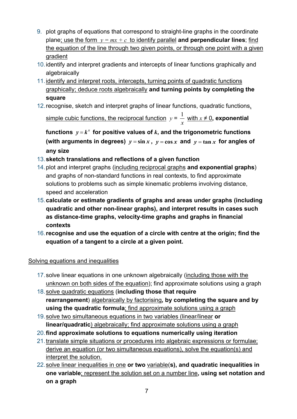- 9. plot graphs of equations that correspond to straight-line graphs in the coordinate plane; use the form  $y = mx + c$  to identify parallel **and perpendicular lines**; find the equation of the line through two given points, or through one point with a given gradient
- 10.identify and interpret gradients and intercepts of linear functions graphically and algebraically
- 11.identify and interpret roots, intercepts, turning points of quadratic functions graphically; deduce roots algebraically **and turning points by completing the square**
- 12.recognise, sketch and interpret graphs of linear functions, quadratic functions,

<u>simple cubic functions, the reciprocal function</u>  $y$  =  $\frac{1}{\sqrt{2}}$ *x* with  $x \neq 0$ , exponential

functions  $y = k^x$  for positive values of  $k$ , and the trigonometric functions (with arguments in degrees)  $y = \sin x$ ,  $y = \cos x$  and  $y = \tan x$  for angles of **any size**

## 13.**sketch translations and reflections of a given function**

- 14.plot and interpret graphs (including reciprocal graphs **and exponential graphs**) and graphs of non-standard functions in real contexts, to find approximate solutions to problems such as simple kinematic problems involving distance, speed and acceleration
- 15.**calculate or estimate gradients of graphs and areas under graphs (including quadratic and other non-linear graphs), and interpret results in cases such as distance-time graphs, velocity-time graphs and graphs in financial contexts**
- 16.**recognise and use the equation of a circle with centre at the origin; find the equation of a tangent to a circle at a given point.**

## Solving equations and inequalities

- 17.solve linear equations in one unknown algebraically (including those with the unknown on both sides of the equation); find approximate solutions using a graph
- 18.solve quadratic equations (**including those that require rearrangement**) algebraically by factorising**, by completing the square and by using the quadratic formula**; find approximate solutions using a graph
- 19.solve two simultaneous equations in two variables (linear/linear **or linear/quadratic**) algebraically; find approximate solutions using a graph
- 20.**find approximate solutions to equations numerically using iteration**
- 21.translate simple situations or procedures into algebraic expressions or formulae; derive an equation (or two simultaneous equations), solve the equation(s) and interpret the solution.
- 22.solve linear inequalities in one **or two** variable(**s), and quadratic inequalities in one variable**; represent the solution set on a number line**, using set notation and on a graph**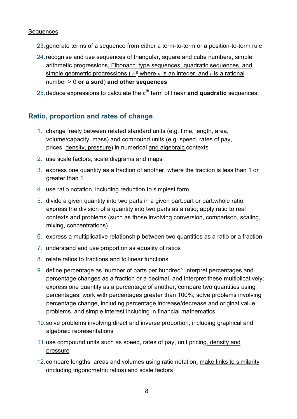#### **Sequences**

- 23.generate terms of a sequence from either a term-to-term or a position-to-term rule
- 24.recognise and use sequences of triangular, square and cube numbers, simple arithmetic progressions, Fibonacci type sequences, quadratic sequences, and simple geometric progressions ( $r^{\frac{n}{2}}$  where *n* is an integer, and *r* is a rational number > 0 **or a surd**) **and other sequences**

25 deduce expressions to calculate the  $n^{\text{th}}$  term of linear **and quadratic** sequences.

#### <span id="page-7-0"></span>**Ratio, proportion and rates of change**

- 1. change freely between related standard units (e.g. time, length, area, volume/capacity, mass) and compound units (e.g. speed, rates of pay, prices, density, pressure) in numerical and algebraic contexts
- 2. use scale factors, scale diagrams and maps
- 3. express one quantity as a fraction of another, where the fraction is less than 1 or greater than 1
- 4. use ratio notation, including reduction to simplest form
- 5. divide a given quantity into two parts in a given part:part or part:whole ratio; express the division of a quantity into two parts as a ratio; apply ratio to real contexts and problems (such as those involving conversion, comparison, scaling, mixing, concentrations)
- 6. express a multiplicative relationship between two quantities as a ratio or a fraction
- 7. understand and use proportion as equality of ratios
- 8. relate ratios to fractions and to linear functions
- 9. define percentage as 'number of parts per hundred'; interpret percentages and percentage changes as a fraction or a decimal, and interpret these multiplicatively; express one quantity as a percentage of another; compare two quantities using percentages; work with percentages greater than 100%; solve problems involving percentage change, including percentage increase/decrease and original value problems, and simple interest including in financial mathematics
- 10.solve problems involving direct and inverse proportion, including graphical and algebraic representations
- 11.use compound units such as speed, rates of pay, unit pricing*,* density and pressure
- 12.compare lengths, areas and volumes using ratio notation; make links to similarity (including trigonometric ratios) and scale factors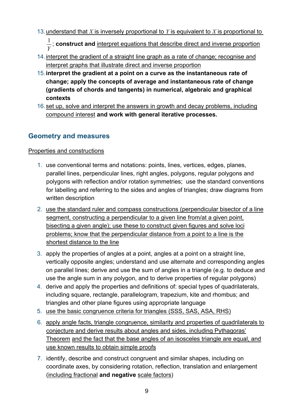13.understand that *X* is inversely proportional to *Y* is equivalent to *X* is proportional to

 $\frac{1}{Y}$ ;  ${\bf const}$  ruct and  $\underline{\rm interior}$  equations that describe direct and inverse proportion

- 14.interpret the gradient of a straight line graph as a rate of change; recognise and interpret graphs that illustrate direct and inverse proportion
- 15.**interpret the gradient at a point on a curve as the instantaneous rate of change; apply the concepts of average and instantaneous rate of change (gradients of chords and tangents) in numerical, algebraic and graphical contexts**
- 16.set up, solve and interpret the answers in growth and decay problems, including compound interest **and work with general iterative processes.**

## <span id="page-8-0"></span>**Geometry and measures**

#### Properties and constructions

- 1. use conventional terms and notations: points, lines, vertices, edges, planes, parallel lines, perpendicular lines, right angles, polygons, regular polygons and polygons with reflection and/or rotation symmetries; use the standard conventions for labelling and referring to the sides and angles of triangles; draw diagrams from written description
- 2. use the standard ruler and compass constructions (perpendicular bisector of a line segment, constructing a perpendicular to a given line from/at a given point, bisecting a given angle); use these to construct given figures and solve loci problems; know that the perpendicular distance from a point to a line is the shortest distance to the line
- 3. apply the properties of angles at a point, angles at a point on a straight line, vertically opposite angles; understand and use alternate and corresponding angles on parallel lines; derive and use the sum of angles in a triangle (e.g. to deduce and use the angle sum in any polygon, and to derive properties of regular polygons)
- 4. derive and apply the properties and definitions of: special types of quadrilaterals, including square, rectangle, parallelogram, trapezium, kite and rhombus; and triangles and other plane figures using appropriate language
- 5. use the basic congruence criteria for triangles (SSS, SAS, ASA, RHS)
- 6. apply angle facts, triangle congruence, similarity and properties of quadrilaterals to conjecture and derive results about angles and sides, including Pythagoras' Theorem and the fact that the base angles of an isosceles triangle are equal, and use known results to obtain simple proofs
- 7. identify, describe and construct congruent and similar shapes, including on coordinate axes, by considering rotation, reflection, translation and enlargement (including fractional **and negative** scale factors)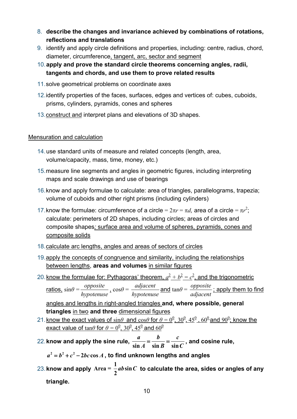- 8. **describe the changes and invariance achieved by combinations of rotations, reflections and translations**
- 9. identify and apply circle definitions and properties, including: centre, radius, chord, diameter, circumference, tangent, arc, sector and segment
- 10.**apply and prove the standard circle theorems concerning angles, radii, tangents and chords, and use them to prove related results**
- 11.solve geometrical problems on coordinate axes
- 12.identify properties of the faces, surfaces, edges and vertices of: cubes, cuboids, prisms, cylinders, pyramids, cones and spheres
- 13.construct and interpret plans and elevations of 3D shapes.

#### Mensuration and calculation

- 14.use standard units of measure and related concepts (length, area, volume/capacity, mass, time, money, etc.)
- 15.measure line segments and angles in geometric figures, including interpreting maps and scale drawings and use of bearings
- 16.know and apply formulae to calculate: area of triangles, parallelograms, trapezia; volume of cuboids and other right prisms (including cylinders)
- 17. know the formulae: circumference of a circle =  $2\pi r = \pi d$ , area of a circle =  $\pi r^2$ ; calculate: perimeters of 2D shapes, including circles; areas of circles and composite shapes*;* surface area and volume of spheres, pyramids, cones and composite solids
- 18.calculate arc lengths, angles and areas of sectors of circles
- 19.apply the concepts of congruence and similarity, including the relationships between lengths, **areas and volumes** in similar figures
- 20. know the formulae for: Pythagoras' theorem,  $a^2 + b^2 = c^2$ , and the trigonometric

 $\frac{\text{rations.}}{\text{sin}\theta}$  =  $\frac{\text{opposite}}{\text{hypotenuse}}$  ,  $\cos\theta = \frac{\text{adjacent}}{\text{hypotenuse}}$ and  $tan\theta = \frac{opposite}{adjacent}$ ; apply them to find

angles and lengths in right-angled triangles **and, where possible, general triangles** in two **and three** dimensional figures

- 21. know the exact values of  $\sin\theta$  and  $\cos\theta$  for  $\theta = 0^0$ ,  $30^0$ ,  $45^0$ ,  $60^0$  and  $90^0$ ; know the <u>exact value of  $\tan\!\theta$  for  $\theta = 0^{\underline{0}}$ , 30 $^{\underline{0}}$ , 45 $^{\underline{0}}$  and 60 $^{\underline{0}}$ </u>
- 22. know and apply the sine rule,  $\frac{u}{\sin A} = \frac{v}{\sin B} = \frac{v}{\sin B}$  $\frac{a}{\ln A} = \frac{b}{\sin B} = \frac{c}{\sin C}$ , and cosine rule,

 $a^2 = b^2 + c^2 - 2bc \cos A$ , to find unknown lengths and angles

23. **know and apply**  $\text{Area} = \frac{1}{2}ab\sin\theta$ **2**  $\bm{a} \bm{b} \sin \bm{C}$  to calculate the area, sides or angles of any **triangle.**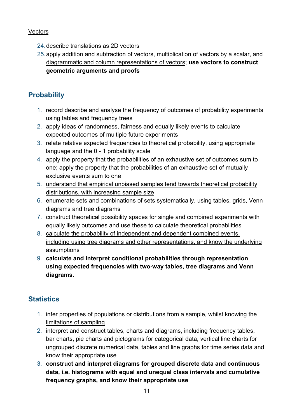#### **Vectors**

- 24.describe translations as 2D vectors
- 25.apply addition and subtraction of vectors, multiplication of vectors by a scalar, and diagrammatic and column representations of vectors; **use vectors to construct geometric arguments and proofs**

## <span id="page-10-0"></span>**Probability**

- 1. record describe and analyse the frequency of outcomes of probability experiments using tables and frequency trees
- 2. apply ideas of randomness, fairness and equally likely events to calculate expected outcomes of multiple future experiments
- 3. relate relative expected frequencies to theoretical probability, using appropriate language and the 0 - 1 probability scale
- 4. apply the property that the probabilities of an exhaustive set of outcomes sum to one; apply the property that the probabilities of an exhaustive set of mutually exclusive events sum to one
- 5. understand that empirical unbiased samples tend towards theoretical probability distributions, with increasing sample size
- 6. enumerate sets and combinations of sets systematically, using tables, grids, Venn diagrams and tree diagrams
- 7. construct theoretical possibility spaces for single and combined experiments with equally likely outcomes and use these to calculate theoretical probabilities
- 8. calculate the probability of independent and dependent combined events, including using tree diagrams and other representations, and know the underlying assumptions
- 9. **calculate and interpret conditional probabilities through representation using expected frequencies with two-way tables, tree diagrams and Venn diagrams.**

## <span id="page-10-1"></span>**Statistics**

- 1. infer properties of populations or distributions from a sample, whilst knowing the limitations of sampling
- 2. interpret and construct tables, charts and diagrams, including frequency tables, bar charts, pie charts and pictograms for categorical data, vertical line charts for ungrouped discrete numerical data, tables and line graphs for time series data and know their appropriate use
- 3. **construct and interpret diagrams for grouped discrete data and continuous data, i.e. histograms with equal and unequal class intervals and cumulative frequency graphs, and know their appropriate use**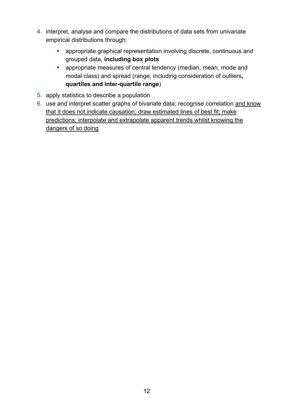- 4. interpret, analyse and compare the distributions of data sets from univariate empirical distributions through:
	- appropriate graphical representation involving discrete, continuous and grouped data, **including box plots**
	- appropriate measures of central tendency (median, mean, mode and modal class) and spread (range, including consideration of outliers**, quartiles and inter-quartile range**)
- 5. apply statistics to describe a population
- 6. use and interpret scatter graphs of bivariate data; recognise correlation and know that it does not indicate causation; draw estimated lines of best fit; make predictions; interpolate and extrapolate apparent trends whilst knowing the dangers of so doing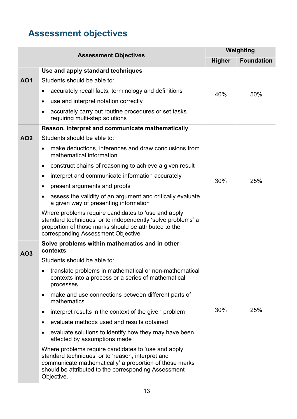# <span id="page-12-0"></span>**Assessment objectives**

| <b>Assessment Objectives</b> |                                                                                                                                                                                                                                           | Weighting     |                   |
|------------------------------|-------------------------------------------------------------------------------------------------------------------------------------------------------------------------------------------------------------------------------------------|---------------|-------------------|
|                              |                                                                                                                                                                                                                                           | <b>Higher</b> | <b>Foundation</b> |
|                              | Use and apply standard techniques                                                                                                                                                                                                         | 40%           | 50%               |
| <b>AO1</b>                   | Students should be able to:                                                                                                                                                                                                               |               |                   |
|                              | accurately recall facts, terminology and definitions<br>$\bullet$                                                                                                                                                                         |               |                   |
|                              | use and interpret notation correctly<br>$\bullet$                                                                                                                                                                                         |               |                   |
|                              | accurately carry out routine procedures or set tasks<br>$\bullet$<br>requiring multi-step solutions                                                                                                                                       |               |                   |
|                              | Reason, interpret and communicate mathematically                                                                                                                                                                                          |               |                   |
| <b>AO2</b>                   | Students should be able to:                                                                                                                                                                                                               |               | 25%               |
|                              | make deductions, inferences and draw conclusions from<br>$\bullet$<br>mathematical information                                                                                                                                            |               |                   |
|                              | construct chains of reasoning to achieve a given result<br>$\bullet$                                                                                                                                                                      |               |                   |
|                              | interpret and communicate information accurately<br>$\bullet$                                                                                                                                                                             | 30%           |                   |
|                              | present arguments and proofs<br>$\bullet$                                                                                                                                                                                                 |               |                   |
|                              | assess the validity of an argument and critically evaluate<br>$\bullet$<br>a given way of presenting information                                                                                                                          |               |                   |
|                              | Where problems require candidates to 'use and apply<br>standard techniques' or to independently 'solve problems' a<br>proportion of those marks should be attributed to the<br>corresponding Assessment Objective                         |               |                   |
| AO3                          | Solve problems within mathematics and in other<br>contexts                                                                                                                                                                                |               |                   |
|                              | Students should be able to:                                                                                                                                                                                                               |               | 25%               |
|                              | translate problems in mathematical or non-mathematical<br>contexts into a process or a series of mathematical<br>processes                                                                                                                |               |                   |
|                              | make and use connections between different parts of<br>$\bullet$<br>mathematics                                                                                                                                                           |               |                   |
|                              | interpret results in the context of the given problem<br>$\bullet$                                                                                                                                                                        | 30%           |                   |
|                              | evaluate methods used and results obtained<br>$\bullet$                                                                                                                                                                                   |               |                   |
|                              | evaluate solutions to identify how they may have been<br>$\bullet$<br>affected by assumptions made                                                                                                                                        |               |                   |
|                              | Where problems require candidates to 'use and apply<br>standard techniques' or to 'reason, interpret and<br>communicate mathematically' a proportion of those marks<br>should be attributed to the corresponding Assessment<br>Objective. |               |                   |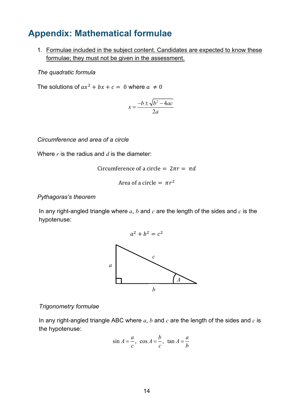# <span id="page-13-0"></span>**Appendix: Mathematical formulae**

1. Formulae included in the subject content. Candidates are expected to know these formulae; they must not be given in the assessment.

*The quadratic formula*

The solutions of  $ax^2 + bx + c = 0$  where  $a \neq 0$ 

$$
x = \frac{-b \pm \sqrt{b^2 - 4ac}}{2a}
$$

*Circumference and area of a circle*

Where *r* is the radius and *d* is the diameter:

Circumference of a circle = 
$$
2\pi r = \pi d
$$

Area of a circle  $= \pi r^2$ 

#### *Pythagoras's theorem*

In any right-angled triangle where *a*, *b* and *c* are the length of the sides and *c* is the hypotenuse:



#### *Trigonometry formulae*

In any right-angled triangle ABC where *a*, *b* and *c* are the length of the sides and *c* is the hypotenuse:

$$
\sin A = \frac{a}{c}, \cos A = \frac{b}{c}, \tan A = \frac{a}{b}
$$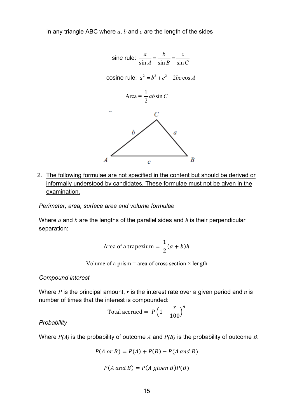In any triangle ABC where *a*, *b* and *c* are the length of the sides



2. The following formulae are not specified in the content but should be derived or informally understood by candidates. These formulae must not be given in the examination.

*Perimeter, area, surface area and volume formulae*

Where *a* and *b* are the lengths of the parallel sides and *h* is their perpendicular separation:

Area of a trapezium = 
$$
\frac{1}{2}(a + b)h
$$

Volume of a prism  $=$  area of cross section  $\times$  length

#### *Compound interest*

Where *P* is the principal amount, *r* is the interest rate over a given period and *n* is number of times that the interest is compounded:

Total accrued = 
$$
P\left(1 + \frac{r}{100}\right)^n
$$

*Probability* 

Where *P(A)* is the probability of outcome *A* and *P(B)* is the probability of outcome *B*:

$$
P(A \text{ or } B) = P(A) + P(B) - P(A \text{ and } B)
$$

$$
P(A \text{ and } B) = P(A \text{ given } B)P(B)
$$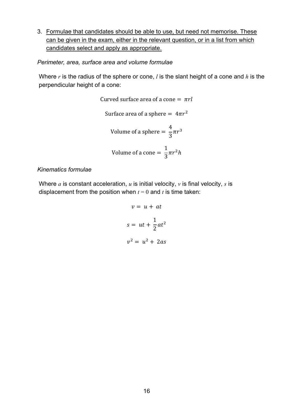3. Formulae that candidates should be able to use, but need not memorise. These can be given in the exam, either in the relevant question, or in a list from which candidates select and apply as appropriate.

*Perimeter, area, surface area and volume formulae*

Where *r* is the radius of the sphere or cone, *l* is the slant height of a cone and *h* is the perpendicular height of a cone:

Curved surface area of a cone = 
$$
\pi r l
$$

Surface area of a sphere =  $4\pi r^2$ 

Volume of a sphere = 
$$
\frac{4}{3}\pi r^3
$$

Volume of a cone = 
$$
\frac{1}{3}\pi r^2 h
$$

#### *Kinematics formulae*

Where *a* is constant acceleration, *u* is initial velocity, *v* is final velocity, *s* is displacement from the position when  $t = 0$  and  $t$  is time taken:

$$
v = u + at
$$

$$
s = ut + \frac{1}{2}at^2
$$

$$
v^2 = u^2 + 2as
$$